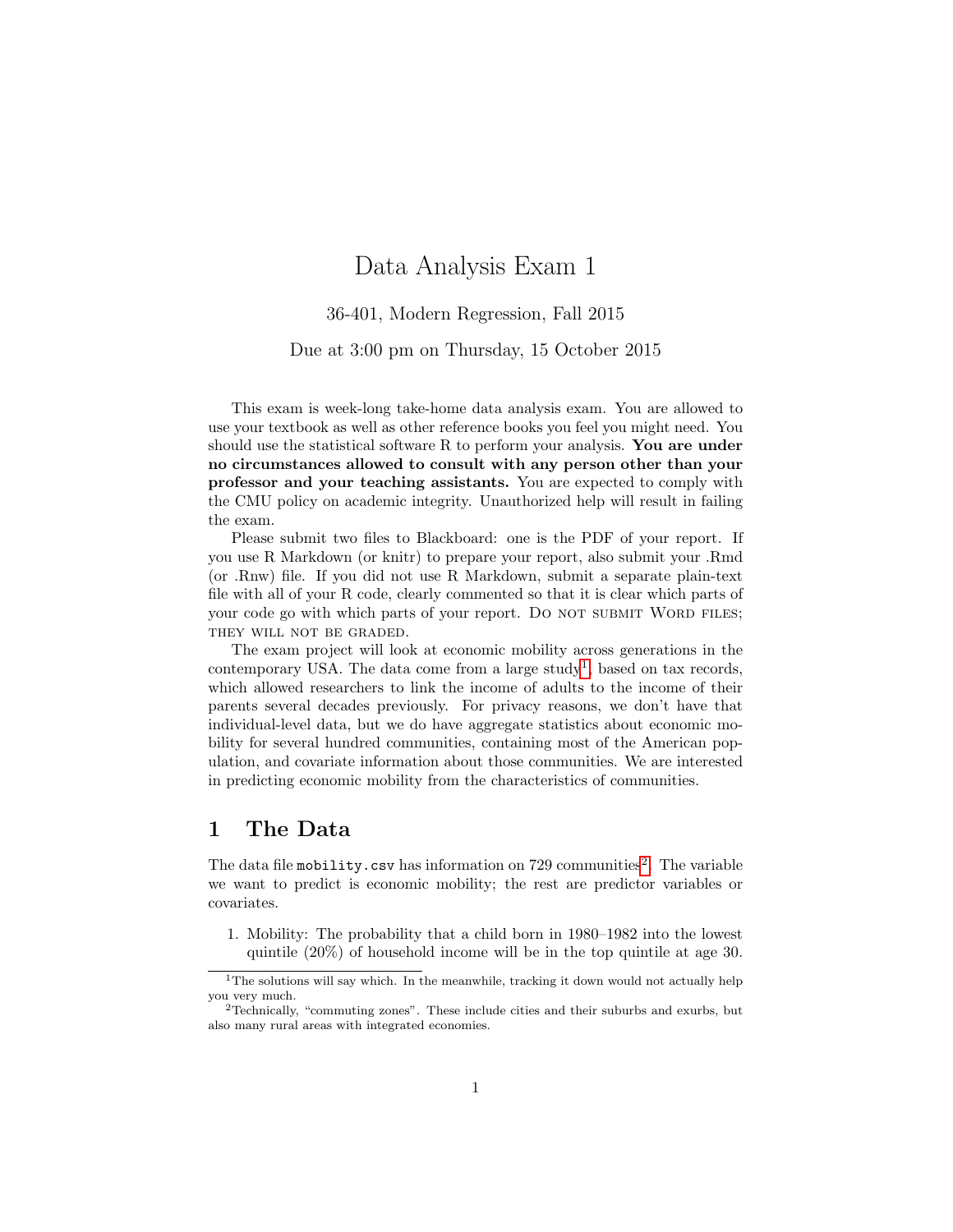# Data Analysis Exam 1

36-401, Modern Regression, Fall 2015

Due at 3:00 pm on Thursday, 15 October 2015

This exam is week-long take-home data analysis exam. You are allowed to use your textbook as well as other reference books you feel you might need. You should use the statistical software R to perform your analysis. You are under no circumstances allowed to consult with any person other than your professor and your teaching assistants. You are expected to comply with the CMU policy on academic integrity. Unauthorized help will result in failing the exam.

Please submit two files to Blackboard: one is the PDF of your report. If you use R Markdown (or knitr) to prepare your report, also submit your .Rmd (or .Rnw) file. If you did not use R Markdown, submit a separate plain-text file with all of your R code, clearly commented so that it is clear which parts of your code go with which parts of your report. Do NOT SUBMIT WORD FILES; THEY WILL NOT BE GRADED.

The exam project will look at economic mobility across generations in the contemporary USA. The data come from a large study<sup>[1](#page-0-0)</sup>, based on tax records, which allowed researchers to link the income of adults to the income of their parents several decades previously. For privacy reasons, we don't have that individual-level data, but we do have aggregate statistics about economic mobility for several hundred communities, containing most of the American population, and covariate information about those communities. We are interested in predicting economic mobility from the characteristics of communities.

### 1 The Data

The data file mobility.csv has information on 7[2](#page-0-1)9 communities<sup>2</sup>. The variable we want to predict is economic mobility; the rest are predictor variables or covariates.

1. Mobility: The probability that a child born in 1980–1982 into the lowest quintile (20%) of household income will be in the top quintile at age 30.

<span id="page-0-0"></span><sup>&</sup>lt;sup>1</sup>The solutions will say which. In the meanwhile, tracking it down would not actually help you very much.

<span id="page-0-1"></span><sup>2</sup>Technically, "commuting zones". These include cities and their suburbs and exurbs, but also many rural areas with integrated economies.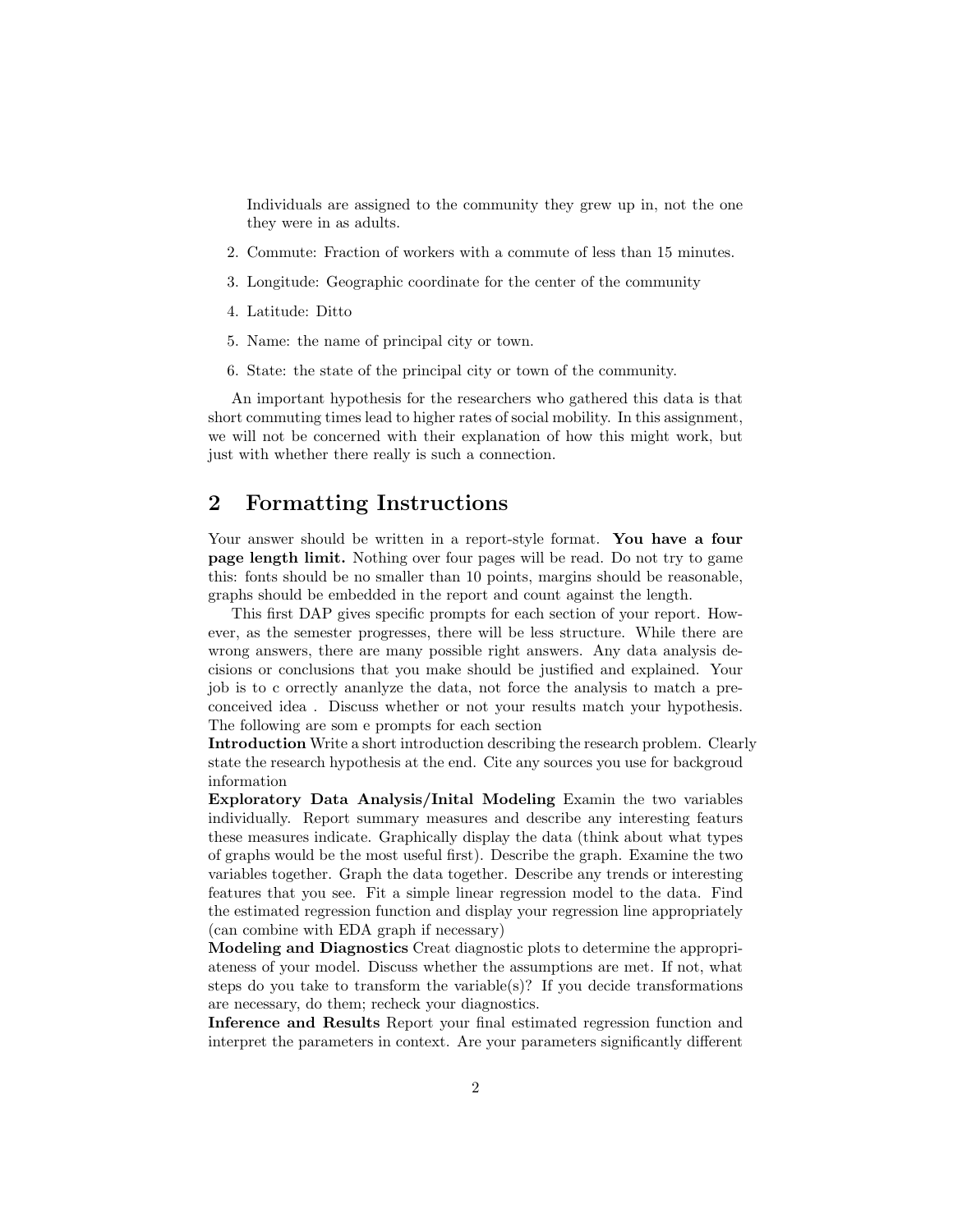Individuals are assigned to the community they grew up in, not the one they were in as adults.

- 2. Commute: Fraction of workers with a commute of less than 15 minutes.
- 3. Longitude: Geographic coordinate for the center of the community
- 4. Latitude: Ditto
- 5. Name: the name of principal city or town.
- 6. State: the state of the principal city or town of the community.

An important hypothesis for the researchers who gathered this data is that short commuting times lead to higher rates of social mobility. In this assignment, we will not be concerned with their explanation of how this might work, but just with whether there really is such a connection.

## 2 Formatting Instructions

Your answer should be written in a report-style format. You have a four page length limit. Nothing over four pages will be read. Do not try to game this: fonts should be no smaller than 10 points, margins should be reasonable, graphs should be embedded in the report and count against the length.

This first DAP gives specific prompts for each section of your report. However, as the semester progresses, there will be less structure. While there are wrong answers, there are many possible right answers. Any data analysis decisions or conclusions that you make should be justified and explained. Your job is to c orrectly ananlyze the data, not force the analysis to match a preconceived idea . Discuss whether or not your results match your hypothesis. The following are som e prompts for each section

Introduction Write a short introduction describing the research problem. Clearly state the research hypothesis at the end. Cite any sources you use for backgroud information

Exploratory Data Analysis/Inital Modeling Examin the two variables individually. Report summary measures and describe any interesting featurs these measures indicate. Graphically display the data (think about what types of graphs would be the most useful first). Describe the graph. Examine the two variables together. Graph the data together. Describe any trends or interesting features that you see. Fit a simple linear regression model to the data. Find the estimated regression function and display your regression line appropriately (can combine with EDA graph if necessary)

Modeling and Diagnostics Creat diagnostic plots to determine the appropriateness of your model. Discuss whether the assumptions are met. If not, what steps do you take to transform the variable(s)? If you decide transformations are necessary, do them; recheck your diagnostics.

Inference and Results Report your final estimated regression function and interpret the parameters in context. Are your parameters significantly different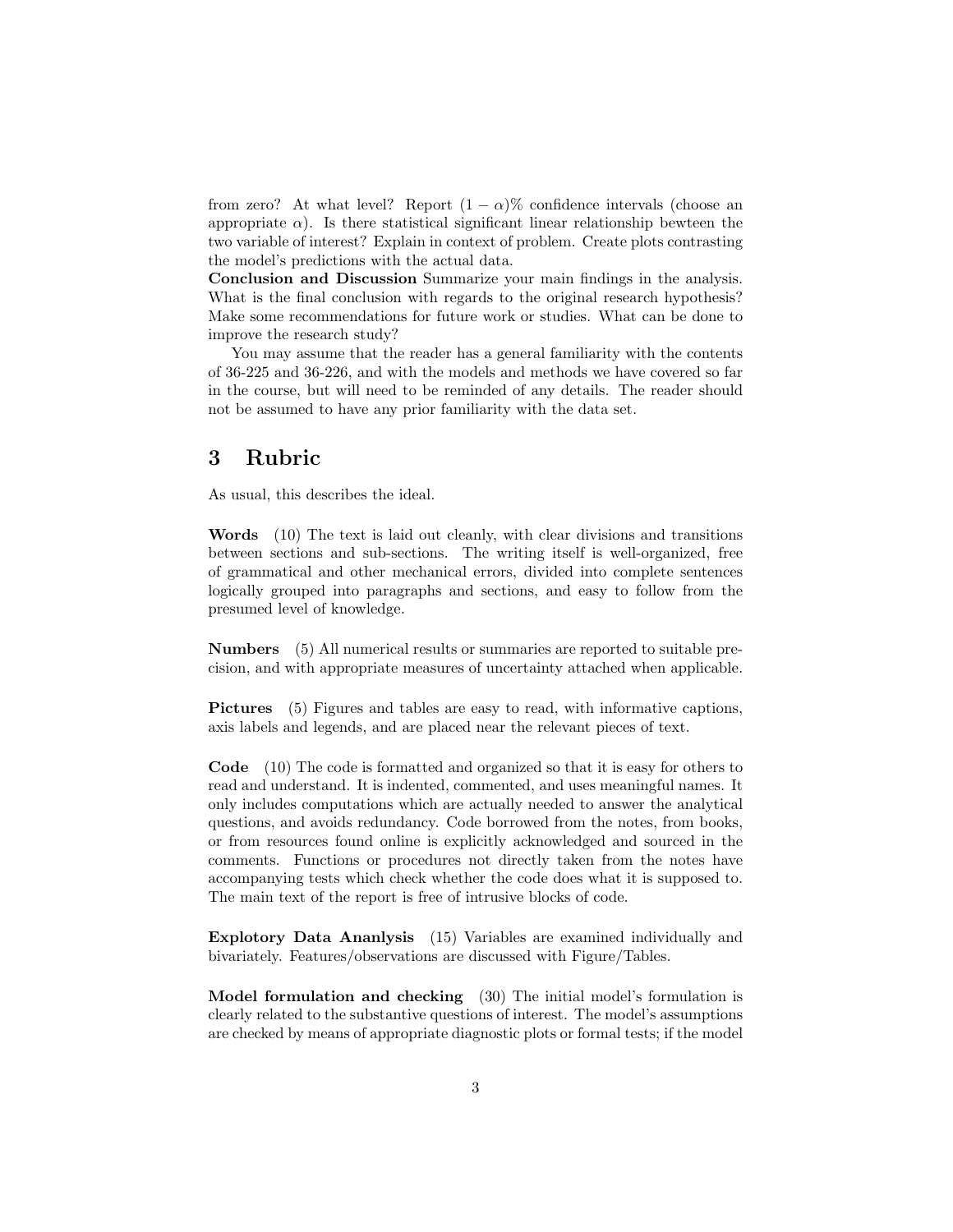from zero? At what level? Report  $(1 - \alpha)$ % confidence intervals (choose an appropriate  $\alpha$ ). Is there statistical significant linear relationship bewteen the two variable of interest? Explain in context of problem. Create plots contrasting the model's predictions with the actual data.

Conclusion and Discussion Summarize your main findings in the analysis. What is the final conclusion with regards to the original research hypothesis? Make some recommendations for future work or studies. What can be done to improve the research study?

You may assume that the reader has a general familiarity with the contents of 36-225 and 36-226, and with the models and methods we have covered so far in the course, but will need to be reminded of any details. The reader should not be assumed to have any prior familiarity with the data set.

### 3 Rubric

As usual, this describes the ideal.

Words (10) The text is laid out cleanly, with clear divisions and transitions between sections and sub-sections. The writing itself is well-organized, free of grammatical and other mechanical errors, divided into complete sentences logically grouped into paragraphs and sections, and easy to follow from the presumed level of knowledge.

Numbers (5) All numerical results or summaries are reported to suitable precision, and with appropriate measures of uncertainty attached when applicable.

Pictures (5) Figures and tables are easy to read, with informative captions, axis labels and legends, and are placed near the relevant pieces of text.

Code (10) The code is formatted and organized so that it is easy for others to read and understand. It is indented, commented, and uses meaningful names. It only includes computations which are actually needed to answer the analytical questions, and avoids redundancy. Code borrowed from the notes, from books, or from resources found online is explicitly acknowledged and sourced in the comments. Functions or procedures not directly taken from the notes have accompanying tests which check whether the code does what it is supposed to. The main text of the report is free of intrusive blocks of code.

Explotory Data Ananlysis (15) Variables are examined individually and bivariately. Features/observations are discussed with Figure/Tables.

Model formulation and checking (30) The initial model's formulation is clearly related to the substantive questions of interest. The model's assumptions are checked by means of appropriate diagnostic plots or formal tests; if the model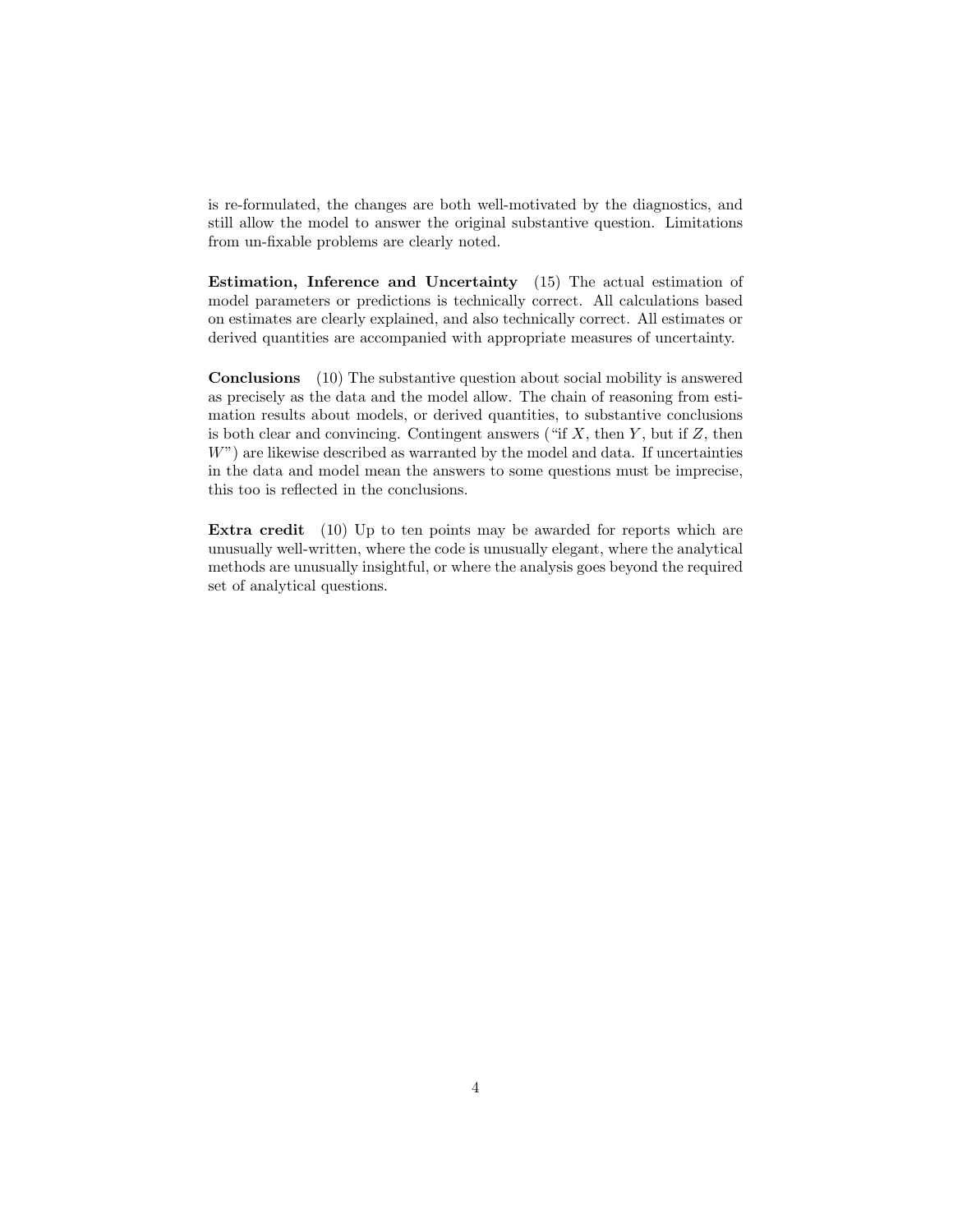is re-formulated, the changes are both well-motivated by the diagnostics, and still allow the model to answer the original substantive question. Limitations from un-fixable problems are clearly noted.

Estimation, Inference and Uncertainty (15) The actual estimation of model parameters or predictions is technically correct. All calculations based on estimates are clearly explained, and also technically correct. All estimates or derived quantities are accompanied with appropriate measures of uncertainty.

Conclusions (10) The substantive question about social mobility is answered as precisely as the data and the model allow. The chain of reasoning from estimation results about models, or derived quantities, to substantive conclusions is both clear and convincing. Contingent answers ("if  $X$ , then  $Y$ , but if  $Z$ , then  $W$ ) are likewise described as warranted by the model and data. If uncertainties in the data and model mean the answers to some questions must be imprecise, this too is reflected in the conclusions.

Extra credit (10) Up to ten points may be awarded for reports which are unusually well-written, where the code is unusually elegant, where the analytical methods are unusually insightful, or where the analysis goes beyond the required set of analytical questions.